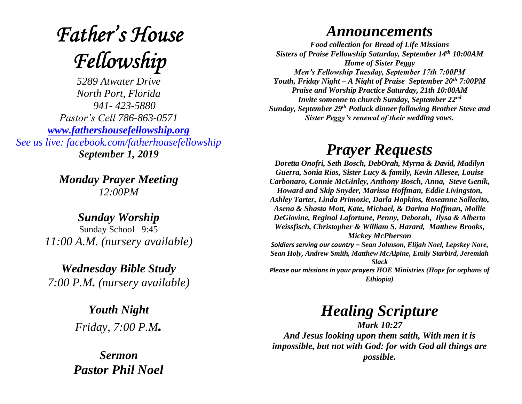# **Father's House** Fellowship

*5289 Atwater Drive North Port, Florida 941- 423-5880 Pastor's Cell 786-863-0571 [www.fathershousefellowship.org](http://www.fathershousefellowship.org/) See us live: facebook.com/fatherhousefellowship September 1, 2019*

> *Monday Prayer Meeting 12:00PM*

*Sunday Worship* Sunday School 9:45 *11:00 A.M. (nursery available)*

*Wednesday Bible Study 7:00 P.M. (nursery available)*

> *Youth Night Friday, 7:00 P.M.*

*Sermon Pastor Phil Noel*

#### *Announcements*

*Food collection for Bread of Life Missions Sisters of Praise Fellowship Saturday, September 14th 10:00AM Home of Sister Peggy Men's Fellowship Tuesday, September 17th 7:00PM Youth, Friday Night – A Night of Praise September 20th 7:00PM Praise and Worship Practice Saturday, 21th 10:00AM Invite someone to church Sunday, September 22nd Sunday, September 29th Potluck dinner following Brother Steve and Sister Peggy's renewal of their wedding vows.*

### *Prayer Requests*

*Doretta Onofri, Seth Bosch, DebOrah, Myrna & David, Madilyn Guerra, Sonia Rios, Sister Lucy & family, Kevin Allesee, Louise Carbonaro, Connie McGinley, Anthony Bosch, Anna, Steve Genik, Howard and Skip Snyder, Marissa Hoffman, Eddie Livingston, Ashley Tarter, Linda Primozic, Darla Hopkins, Roseanne Sollecito, Asena & Shasta Mott, Kate, Michael, & Darina Hoffman, Mollie DeGiovine, Reginal Lafortune, Penny, Deborah, Ilysa & Alberto Weissfisch, Christopher & William S. Hazard, Matthew Brooks, Mickey McPherson Soldiers serving our country – Sean Johnson, Elijah Noel, Lepskey Nore, Sean Holy, Andrew Smith, Matthew McAlpine, Emily Starbird, Jeremiah Slack Please our missions in your prayers HOE Ministries (Hope for orphans of Ethiopia)*

## *Healing Scripture*

*Mark 10:27 And Jesus looking upon them saith, With men it is impossible, but not with God: for with God all things are possible.*